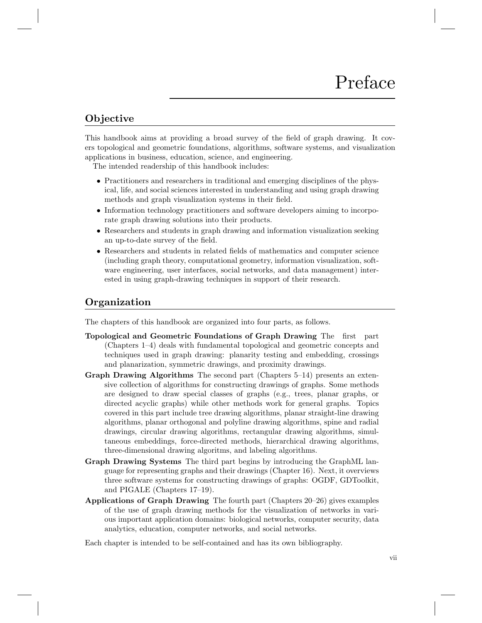## **Objective**

This handbook aims at providing a broad survey of the field of graph drawing. It covers topological and geometric foundations, algorithms, software systems, and visualization applications in business, education, science, and engineering.

The intended readership of this handbook includes:

- Practitioners and researchers in traditional and emerging disciplines of the physical, life, and social sciences interested in understanding and using graph drawing methods and graph visualization systems in their field.
- Information technology practitioners and software developers aiming to incorporate graph drawing solutions into their products.
- Researchers and students in graph drawing and information visualization seeking an up-to-date survey of the field.
- Researchers and students in related fields of mathematics and computer science (including graph theory, computational geometry, information visualization, software engineering, user interfaces, social networks, and data management) interested in using graph-drawing techniques in support of their research.

## Organization

The chapters of this handbook are organized into four parts, as follows.

- Topological and Geometric Foundations of Graph Drawing The first part (Chapters 1–4) deals with fundamental topological and geometric concepts and techniques used in graph drawing: planarity testing and embedding, crossings and planarization, symmetric drawings, and proximity drawings.
- Graph Drawing Algorithms The second part (Chapters 5–14) presents an extensive collection of algorithms for constructing drawings of graphs. Some methods are designed to draw special classes of graphs (e.g., trees, planar graphs, or directed acyclic graphs) while other methods work for general graphs. Topics covered in this part include tree drawing algorithms, planar straight-line drawing algorithms, planar orthogonal and polyline drawing algorithms, spine and radial drawings, circular drawing algorithms, rectangular drawing algorithms, simultaneous embeddings, force-directed methods, hierarchical drawing algorithms, three-dimensional drawing algoritms, and labeling algorithms.
- Graph Drawing Systems The third part begins by introducing the GraphML language for representing graphs and their drawings (Chapter 16). Next, it overviews three software systems for constructing drawings of graphs: OGDF, GDToolkit, and PIGALE (Chapters 17–19).
- Applications of Graph Drawing The fourth part (Chapters 20–26) gives examples of the use of graph drawing methods for the visualization of networks in various important application domains: biological networks, computer security, data analytics, education, computer networks, and social networks.

Each chapter is intended to be self-contained and has its own bibliography.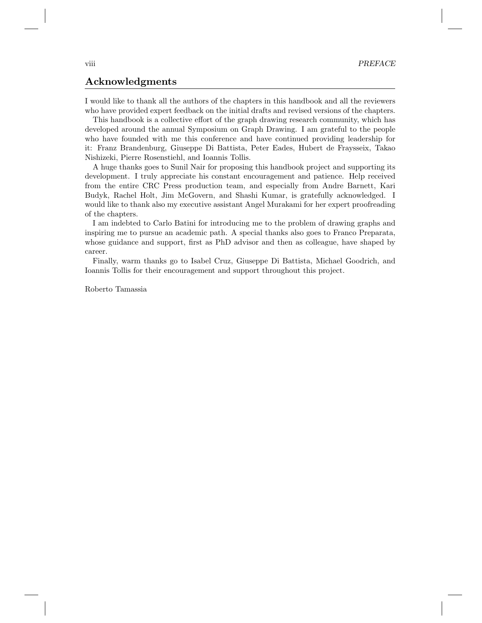## Acknowledgments

I would like to thank all the authors of the chapters in this handbook and all the reviewers who have provided expert feedback on the initial drafts and revised versions of the chapters.

This handbook is a collective effort of the graph drawing research community, which has developed around the annual Symposium on Graph Drawing. I am grateful to the people who have founded with me this conference and have continued providing leadership for it: Franz Brandenburg, Giuseppe Di Battista, Peter Eades, Hubert de Fraysseix, Takao Nishizeki, Pierre Rosenstiehl, and Ioannis Tollis.

A huge thanks goes to Sunil Nair for proposing this handbook project and supporting its development. I truly appreciate his constant encouragement and patience. Help received from the entire CRC Press production team, and especially from Andre Barnett, Kari Budyk, Rachel Holt, Jim McGovern, and Shashi Kumar, is gratefully acknowledged. I would like to thank also my executive assistant Angel Murakami for her expert proofreading of the chapters.

I am indebted to Carlo Batini for introducing me to the problem of drawing graphs and inspiring me to pursue an academic path. A special thanks also goes to Franco Preparata, whose guidance and support, first as PhD advisor and then as colleague, have shaped by career.

Finally, warm thanks go to Isabel Cruz, Giuseppe Di Battista, Michael Goodrich, and Ioannis Tollis for their encouragement and support throughout this project.

Roberto Tamassia